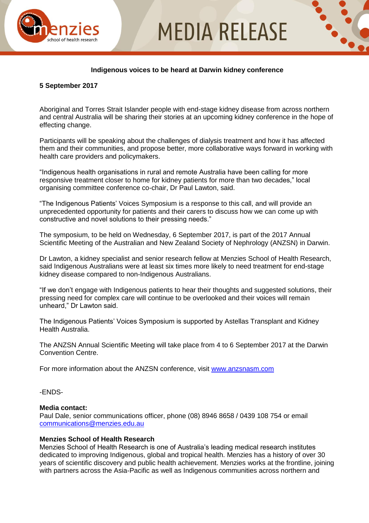

## **MEDIA RELEASE**

## **Indigenous voices to be heard at Darwin kidney conference**

#### **5 September 2017**

Aboriginal and Torres Strait Islander people with end-stage kidney disease from across northern and central Australia will be sharing their stories at an upcoming kidney conference in the hope of effecting change.

Participants will be speaking about the challenges of dialysis treatment and how it has affected them and their communities, and propose better, more collaborative ways forward in working with health care providers and policymakers.

"Indigenous health organisations in rural and remote Australia have been calling for more responsive treatment closer to home for kidney patients for more than two decades," local organising committee conference co-chair, Dr Paul Lawton, said.

"The Indigenous Patients' Voices Symposium is a response to this call, and will provide an unprecedented opportunity for patients and their carers to discuss how we can come up with constructive and novel solutions to their pressing needs."

The symposium, to be held on Wednesday, 6 September 2017, is part of the 2017 Annual Scientific Meeting of the Australian and New Zealand Society of Nephrology (ANZSN) in Darwin.

Dr Lawton, a kidney specialist and senior research fellow at Menzies School of Health Research, said Indigenous Australians were at least six times more likely to need treatment for end-stage kidney disease compared to non-Indigenous Australians.

"If we don't engage with Indigenous patients to hear their thoughts and suggested solutions, their pressing need for complex care will continue to be overlooked and their voices will remain unheard," Dr Lawton said.

The Indigenous Patients' Voices Symposium is supported by Astellas Transplant and Kidney Health Australia.

The ANZSN Annual Scientific Meeting will take place from 4 to 6 September 2017 at the Darwin Convention Centre.

For more information about the ANZSN conference, visit [www.anzsnasm.com](file:///C:/Users/caddinsall/AppData/Local/Microsoft/Windows/Temporary%20Internet%20Files/Content.Outlook/91QIU84U/www.anzsnasm.com)

#### -ENDS-

#### **Media contact:**

Paul Dale, senior communications officer, phone (08) 8946 8658 / 0439 108 754 or email [communications@menzies.edu.au](mailto:communications@menzies.edu.au)

### **Menzies School of Health Research**

Menzies School of Health Research is one of Australia's leading medical research institutes dedicated to improving Indigenous, global and tropical health. Menzies has a history of over 30 years of scientific discovery and public health achievement. Menzies works at the frontline, joining with partners across the Asia-Pacific as well as Indigenous communities across northern and